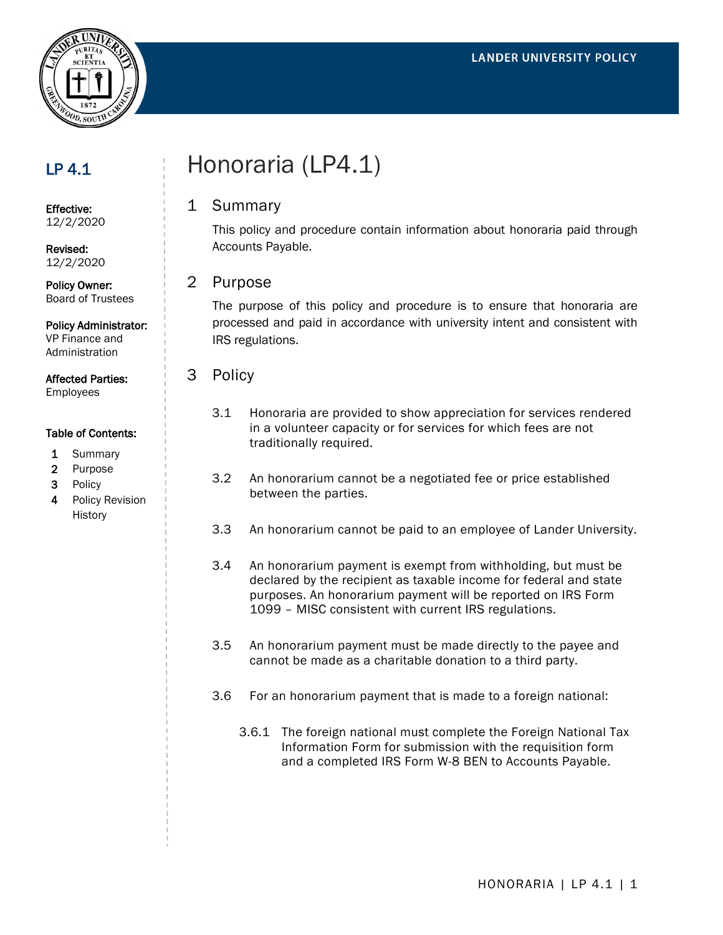

## LP 4.1

Effective: 12/2/2020

Revised: 12/2/2020

Policy Owner: Board of Trustees

#### Policy Administrator:

VP Finance and Administration

Affected Parties: Employees

#### Table of Contents:

- 1 Summary
- 2 Purpose
- 3 Policy
- 4 Policy Revision **History**

# Honoraria (LP4.1)

### 1 Summary

This policy and procedure contain information about honoraria paid through Accounts Payable.

2 Purpose

The purpose of this policy and procedure is to ensure that honoraria are processed and paid in accordance with university intent and consistent with IRS regulations.

- 3 Policy
	- 3.1 Honoraria are provided to show appreciation for services rendered in a volunteer capacity or for services for which fees are not traditionally required.
	- 3.2 An honorarium cannot be a negotiated fee or price established between the parties.
	- 3.3 An honorarium cannot be paid to an employee of Lander University.
	- 3.4 An honorarium payment is exempt from withholding, but must be declared by the recipient as taxable income for federal and state purposes. An honorarium payment will be reported on IRS Form 1099 – MISC consistent with current IRS regulations.
	- 3.5 An honorarium payment must be made directly to the payee and cannot be made as a charitable donation to a third party.
	- 3.6 For an honorarium payment that is made to a foreign national:
		- 3.6.1 The foreign national must complete the Foreign National Tax Information Form for submission with the requisition form and a completed IRS Form W-8 BEN to Accounts Payable.